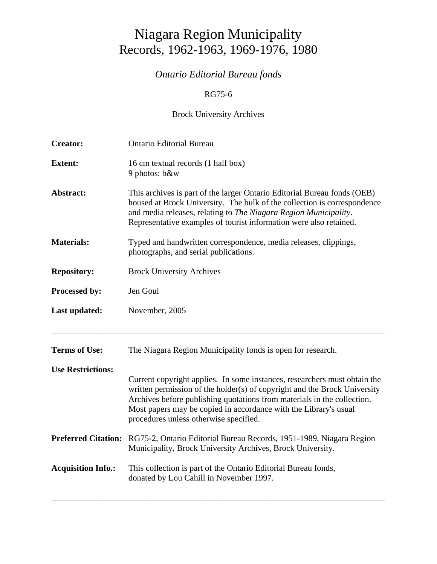# Niagara Region Municipality Records, 1962-1963, 1969-1976, 1980

# *Ontario Editorial Bureau fonds*

### RG75-6

## Brock University Archives

| <b>Creator:</b>            | <b>Ontario Editorial Bureau</b>                                                                                                                                                                                                                                                                                                                 |  |  |
|----------------------------|-------------------------------------------------------------------------------------------------------------------------------------------------------------------------------------------------------------------------------------------------------------------------------------------------------------------------------------------------|--|--|
| <b>Extent:</b>             | 16 cm textual records (1 half box)<br>9 photos: b&w                                                                                                                                                                                                                                                                                             |  |  |
| Abstract:                  | This archives is part of the larger Ontario Editorial Bureau fonds (OEB)<br>housed at Brock University. The bulk of the collection is correspondence<br>and media releases, relating to The Niagara Region Municipality.<br>Representative examples of tourist information were also retained.                                                  |  |  |
| <b>Materials:</b>          | Typed and handwritten correspondence, media releases, clippings,<br>photographs, and serial publications.                                                                                                                                                                                                                                       |  |  |
| <b>Repository:</b>         | <b>Brock University Archives</b>                                                                                                                                                                                                                                                                                                                |  |  |
| Processed by:              | Jen Goul                                                                                                                                                                                                                                                                                                                                        |  |  |
| Last updated:              | November, 2005                                                                                                                                                                                                                                                                                                                                  |  |  |
| <b>Terms of Use:</b>       | The Niagara Region Municipality fonds is open for research.                                                                                                                                                                                                                                                                                     |  |  |
| <b>Use Restrictions:</b>   | Current copyright applies. In some instances, researchers must obtain the<br>written permission of the holder(s) of copyright and the Brock University<br>Archives before publishing quotations from materials in the collection.<br>Most papers may be copied in accordance with the Library's usual<br>procedures unless otherwise specified. |  |  |
| <b>Preferred Citation:</b> | RG75-2, Ontario Editorial Bureau Records, 1951-1989, Niagara Region<br>Municipality, Brock University Archives, Brock University.                                                                                                                                                                                                               |  |  |
| <b>Acquisition Info.:</b>  | This collection is part of the Ontario Editorial Bureau fonds,<br>donated by Lou Cahill in November 1997.                                                                                                                                                                                                                                       |  |  |

\_\_\_\_\_\_\_\_\_\_\_\_\_\_\_\_\_\_\_\_\_\_\_\_\_\_\_\_\_\_\_\_\_\_\_\_\_\_\_\_\_\_\_\_\_\_\_\_\_\_\_\_\_\_\_\_\_\_\_\_\_\_\_\_\_\_\_\_\_\_\_\_\_\_\_\_\_\_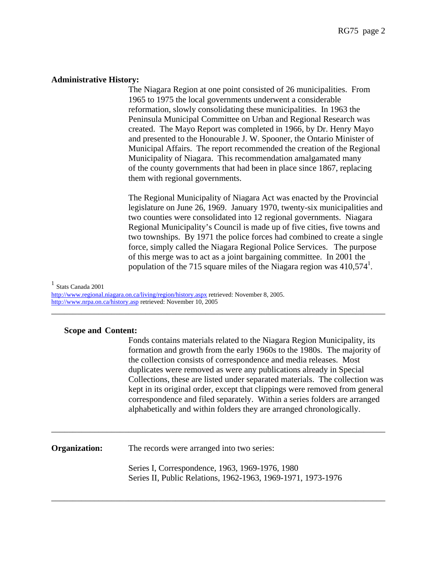#### **Administrative History:**

 The Niagara Region at one point consisted of 26 municipalities. From 1965 to 1975 the local governments underwent a considerable reformation, slowly consolidating these municipalities. In 1963 the Peninsula Municipal Committee on Urban and Regional Research was created. The Mayo Report was completed in 1966, by Dr. Henry Mayo and presented to the Honourable J. W. Spooner, the Ontario Minister of Municipal Affairs. The report recommended the creation of the Regional Municipality of Niagara. This recommendation amalgamated many of the county governments that had been in place since 1867, replacing them with regional governments.

 The Regional Municipality of Niagara Act was enacted by the Provincial legislature on June 26, 1969. January 1970, twenty-six municipalities and two counties were consolidated into 12 regional governments. Niagara Regional Municipality's Council is made up of five cities, five towns and two townships. By 1971 the police forces had combined to create a single force, simply called the Niagara Regional Police Services. The purpose of this merge was to act as a joint bargaining committee. In 2001 the population of the 715 square miles of the Niagara region was  $410,574<sup>1</sup>$ .

<sup>1</sup> Stats Canada 2001

<http://www.regional.niagara.on.ca/living/region/history.aspx> retrieved: November 8, 2005. <http://www.nrpa.on.ca/history.asp> retrieved: November 10, 2005

#### **Scope and Content:**

Fonds contains materials related to the Niagara Region Municipality, its formation and growth from the early 1960s to the 1980s. The majority of the collection consists of correspondence and media releases. Most duplicates were removed as were any publications already in Special Collections, these are listed under separated materials. The collection was kept in its original order, except that clippings were removed from general correspondence and filed separately. Within a series folders are arranged alphabetically and within folders they are arranged chronologically.

**Organization:** The records were arranged into two series:

Series I, Correspondence, 1963, 1969-1976, 1980 Series II, Public Relations, 1962-1963, 1969-1971, 1973-1976

\_\_\_\_\_\_\_\_\_\_\_\_\_\_\_\_\_\_\_\_\_\_\_\_\_\_\_\_\_\_\_\_\_\_\_\_\_\_\_\_\_\_\_\_\_\_\_\_\_\_\_\_\_\_\_\_\_\_\_\_\_\_\_\_\_\_\_\_\_\_\_\_\_\_\_\_\_\_

\_\_\_\_\_\_\_\_\_\_\_\_\_\_\_\_\_\_\_\_\_\_\_\_\_\_\_\_\_\_\_\_\_\_\_\_\_\_\_\_\_\_\_\_\_\_\_\_\_\_\_\_\_\_\_\_\_\_\_\_\_\_\_\_\_\_\_\_\_\_\_\_\_\_\_\_\_\_

\_\_\_\_\_\_\_\_\_\_\_\_\_\_\_\_\_\_\_\_\_\_\_\_\_\_\_\_\_\_\_\_\_\_\_\_\_\_\_\_\_\_\_\_\_\_\_\_\_\_\_\_\_\_\_\_\_\_\_\_\_\_\_\_\_\_\_\_\_\_\_\_\_\_\_\_\_\_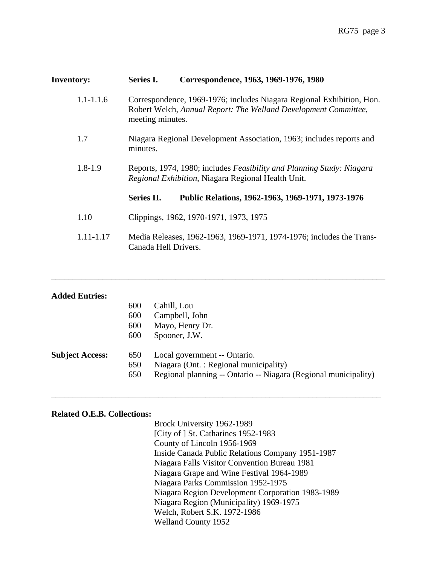| <b>Inventory:</b> | Correspondence, 1963, 1969-1976, 1980<br><b>Series I.</b>                                                                                                    |  |  |
|-------------------|--------------------------------------------------------------------------------------------------------------------------------------------------------------|--|--|
| $1.1 - 1.1.6$     | Correspondence, 1969-1976; includes Niagara Regional Exhibition, Hon.<br>Robert Welch, Annual Report: The Welland Development Committee,<br>meeting minutes. |  |  |
| 1.7               | Niagara Regional Development Association, 1963; includes reports and<br>minutes.                                                                             |  |  |
| $1.8 - 1.9$       | Reports, 1974, 1980; includes Feasibility and Planning Study: Niagara<br>Regional Exhibition, Niagara Regional Health Unit.                                  |  |  |
|                   | Series II.<br>Public Relations, 1962-1963, 1969-1971, 1973-1976                                                                                              |  |  |
| 1.10              | Clippings, 1962, 1970-1971, 1973, 1975                                                                                                                       |  |  |
| 1.11-1.17         | Media Releases, 1962-1963, 1969-1971, 1974-1976; includes the Trans-<br>Canada Hell Drivers.                                                                 |  |  |

| <b>Added Entries:</b>  |     |                                                                 |
|------------------------|-----|-----------------------------------------------------------------|
|                        | 600 | Cahill, Lou                                                     |
|                        | 600 | Campbell, John                                                  |
|                        | 600 | Mayo, Henry Dr.                                                 |
|                        | 600 | Spooner, J.W.                                                   |
| <b>Subject Access:</b> | 650 | Local government -- Ontario.                                    |
|                        | 650 | Niagara (Ont. : Regional municipality)                          |
|                        | 650 | Regional planning -- Ontario -- Niagara (Regional municipality) |
|                        |     |                                                                 |

\_\_\_\_\_\_\_\_\_\_\_\_\_\_\_\_\_\_\_\_\_\_\_\_\_\_\_\_\_\_\_\_\_\_\_\_\_\_\_\_\_\_\_\_\_\_\_\_\_\_\_\_\_\_\_\_\_\_\_\_\_\_\_\_\_\_\_\_\_\_\_\_\_\_\_\_\_

\_\_\_\_\_\_\_\_\_\_\_\_\_\_\_\_\_\_\_\_\_\_\_\_\_\_\_\_\_\_\_\_\_\_\_\_\_\_\_\_\_\_\_\_\_\_\_\_\_\_\_\_\_\_\_\_\_\_\_\_\_\_\_\_\_\_\_\_\_\_\_\_\_\_\_\_\_\_

#### **Related O.E.B. Collections:**

 Brock University 1962-1989 [City of ] St. Catharines 1952-1983 County of Lincoln 1956-1969 Inside Canada Public Relations Company 1951-1987 Niagara Falls Visitor Convention Bureau 1981 Niagara Grape and Wine Festival 1964-1989 Niagara Parks Commission 1952-1975 Niagara Region Development Corporation 1983-1989 Niagara Region (Municipality) 1969-1975 Welch, Robert S.K. 1972-1986 Welland County 1952